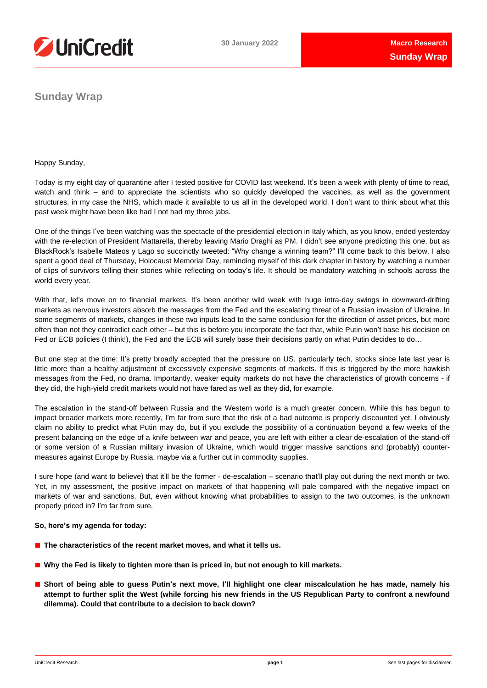

**Sunday Wrap**

Happy Sunday,

Today is my eight day of quarantine after I tested positive for COVID last weekend. It's been a week with plenty of time to read, watch and think – and to appreciate the scientists who so quickly developed the vaccines, as well as the government structures, in my case the NHS, which made it available to us all in the developed world. I don't want to think about what this past week might have been like had I not had my three jabs.

One of the things I've been watching was the spectacle of the presidential election in Italy which, as you know, ended yesterday with the re-election of President Mattarella, thereby leaving Mario Draghi as PM. I didn't see anyone predicting this one, but as BlackRock's Isabelle Mateos y Lago so succinctly tweeted: "Why change a winning team?" I'll come back to this below. I also spent a good deal of Thursday, Holocaust Memorial Day, reminding myself of this dark chapter in history by watching a number of clips of survivors telling their stories while reflecting on today's life. It should be mandatory watching in schools across the world every year.

With that, let's move on to financial markets. It's been another wild week with huge intra-day swings in downward-drifting markets as nervous investors absorb the messages from the Fed and the escalating threat of a Russian invasion of Ukraine. In some segments of markets, changes in these two inputs lead to the same conclusion for the direction of asset prices, but more often than not they contradict each other – but this is before you incorporate the fact that, while Putin won't base his decision on Fed or ECB policies (I think!), the Fed and the ECB will surely base their decisions partly on what Putin decides to do…

But one step at the time: It's pretty broadly accepted that the pressure on US, particularly tech, stocks since late last year is little more than a healthy adjustment of excessively expensive segments of markets. If this is triggered by the more hawkish messages from the Fed, no drama. Importantly, weaker equity markets do not have the characteristics of growth concerns - if they did, the high-yield credit markets would not have fared as well as they did, for example.

The escalation in the stand-off between Russia and the Western world is a much greater concern. While this has begun to impact broader markets more recently, I'm far from sure that the risk of a bad outcome is properly discounted yet. I obviously claim no ability to predict what Putin may do, but if you exclude the possibility of a continuation beyond a few weeks of the present balancing on the edge of a knife between war and peace, you are left with either a clear de-escalation of the stand-off or some version of a Russian military invasion of Ukraine, which would trigger massive sanctions and (probably) countermeasures against Europe by Russia, maybe via a further cut in commodity supplies.

I sure hope (and want to believe) that it'll be the former - de-escalation – scenario that'll play out during the next month or two. Yet, in my assessment, the positive impact on markets of that happening will pale compared with the negative impact on markets of war and sanctions. But, even without knowing what probabilities to assign to the two outcomes, is the unknown properly priced in? I'm far from sure.

### **So, here's my agenda for today:**

- **The characteristics of the recent market moves, and what it tells us.**
- **Why the Fed is likely to tighten more than is priced in, but not enough to kill markets.**
- Short of being able to guess Putin's next move, I'll highlight one clear miscalculation he has made, namely his attempt to further split the West (while forcing his new friends in the US Republican Party to confront a newfound **dilemma). Could that contribute to a decision to back down?**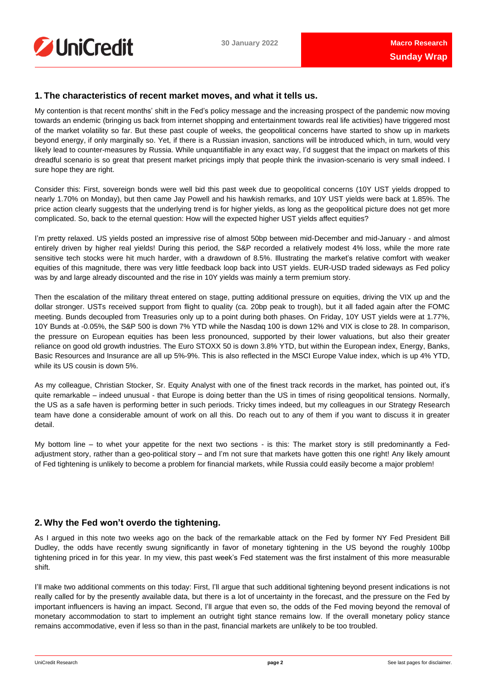### **1. The characteristics of recent market moves, and what it tells us.**

My contention is that recent months' shift in the Fed's policy message and the increasing prospect of the pandemic now moving towards an endemic (bringing us back from internet shopping and entertainment towards real life activities) have triggered most of the market volatility so far. But these past couple of weeks, the geopolitical concerns have started to show up in markets beyond energy, if only marginally so. Yet, if there is a Russian invasion, sanctions will be introduced which, in turn, would very likely lead to counter-measures by Russia. While unquantifiable in any exact way, I'd suggest that the impact on markets of this dreadful scenario is so great that present market pricings imply that people think the invasion-scenario is very small indeed. I sure hope they are right.

Consider this: First, sovereign bonds were well bid this past week due to geopolitical concerns (10Y UST yields dropped to nearly 1.70% on Monday), but then came Jay Powell and his hawkish remarks, and 10Y UST yields were back at 1.85%. The price action clearly suggests that the underlying trend is for higher yields, as long as the geopolitical picture does not get more complicated. So, back to the eternal question: How will the expected higher UST yields affect equities?

I'm pretty relaxed. US yields posted an impressive rise of almost 50bp between mid-December and mid-January - and almost entirely driven by higher real yields! During this period, the S&P recorded a relatively modest 4% loss, while the more rate sensitive tech stocks were hit much harder, with a drawdown of 8.5%. Illustrating the market's relative comfort with weaker equities of this magnitude, there was very little feedback loop back into UST yields. EUR-USD traded sideways as Fed policy was by and large already discounted and the rise in 10Y yields was mainly a term premium story.

Then the escalation of the military threat entered on stage, putting additional pressure on equities, driving the VIX up and the dollar stronger. USTs received support from flight to quality (ca. 20bp peak to trough), but it all faded again after the FOMC meeting. Bunds decoupled from Treasuries only up to a point during both phases. On Friday, 10Y UST yields were at 1.77%, 10Y Bunds at -0.05%, the S&P 500 is down 7% YTD while the Nasdaq 100 is down 12% and VIX is close to 28. In comparison, the pressure on European equities has been less pronounced, supported by their lower valuations, but also their greater reliance on good old growth industries. The Euro STOXX 50 is down 3.8% YTD, but within the European index, Energy, Banks, Basic Resources and Insurance are all up 5%-9%. This is also reflected in the MSCI Europe Value index, which is up 4% YTD, while its US cousin is down 5%.

As my colleague, Christian Stocker, Sr. Equity Analyst with one of the finest track records in the market, has pointed out, it's quite remarkable – indeed unusual - that Europe is doing better than the US in times of rising geopolitical tensions. Normally, the US as a safe haven is performing better in such periods. Tricky times indeed, but my colleagues in our Strategy Research team have done a considerable amount of work on all this. Do reach out to any of them if you want to discuss it in greater detail.

My bottom line – to whet your appetite for the next two sections - is this: The market story is still predominantly a Fedadjustment story, rather than a geo-political story – and I'm not sure that markets have gotten this one right! Any likely amount of Fed tightening is unlikely to become a problem for financial markets, while Russia could easily become a major problem!

## **2. Why the Fed won't overdo the tightening.**

As I argued in this note two weeks ago on the back of the remarkable attack on the Fed by former NY Fed President Bill Dudley, the odds have recently swung significantly in favor of monetary tightening in the US beyond the roughly 100bp tightening priced in for this year. In my view, this past week's Fed statement was the first instalment of this more measurable shift.

I'll make two additional comments on this today: First, I'll argue that such additional tightening beyond present indications is not really called for by the presently available data, but there is a lot of uncertainty in the forecast, and the pressure on the Fed by important influencers is having an impact. Second, I'll argue that even so, the odds of the Fed moving beyond the removal of monetary accommodation to start to implement an outright tight stance remains low. If the overall monetary policy stance remains accommodative, even if less so than in the past, financial markets are unlikely to be too troubled.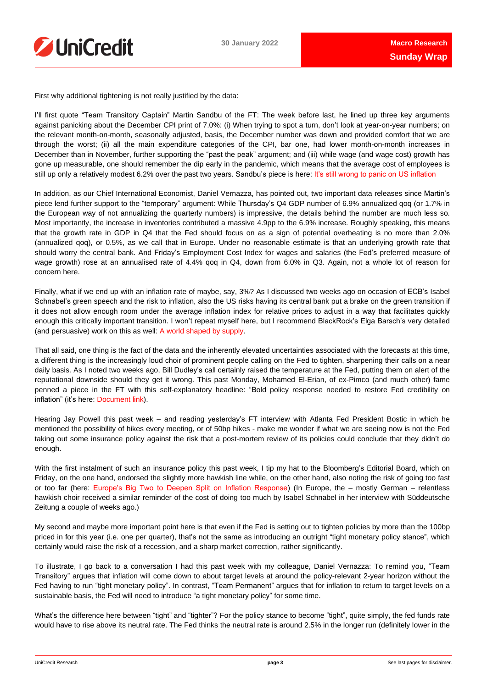

First why additional tightening is not really justified by the data:

I'll first quote "Team Transitory Captain" Martin Sandbu of the FT: The week before last, he lined up three key arguments against panicking about the December CPI print of 7.0%: (i) When trying to spot a turn, don't look at year-on-year numbers; on the relevant month-on-month, seasonally adjusted, basis, the December number was down and provided comfort that we are through the worst; (ii) all the main expenditure categories of the CPI, bar one, had lower month-on-month increases in December than in November, further supporting the "past the peak" argument; and (iii) while wage (and wage cost) growth has gone up measurable, one should remember the dip early in the pandemic, which means that the average cost of employees is still up only a relatively modest 6.2% over the past two years. Sandbu's piece is here: [It's still wrong to panic on US inflation](https://on.ft.com/3rzaj0N)

In addition, as our Chief International Economist, Daniel Vernazza, has pointed out, two important data releases since Martin's piece lend further support to the "temporary" argument: While Thursday's Q4 GDP number of 6.9% annualized qoq (or 1.7% in the European way of not annualizing the quarterly numbers) is impressive, the details behind the number are much less so. Most importantly, the increase in inventories contributed a massive 4.9pp to the 6.9% increase. Roughly speaking, this means that the growth rate in GDP in Q4 that the Fed should focus on as a sign of potential overheating is no more than 2.0% (annualized qoq), or 0.5%, as we call that in Europe. Under no reasonable estimate is that an underlying growth rate that should worry the central bank. And Friday's Employment Cost Index for wages and salaries (the Fed's preferred measure of wage growth) rose at an annualised rate of 4.4% qoq in Q4, down from 6.0% in Q3. Again, not a whole lot of reason for concern here.

Finally, what if we end up with an inflation rate of maybe, say, 3%? As I discussed two weeks ago on occasion of ECB's Isabel Schnabel's green speech and the risk to inflation, also the US risks having its central bank put a brake on the green transition if it does not allow enough room under the average inflation index for relative prices to adjust in a way that facilitates quickly enough this critically important transition. I won't repeat myself here, but I recommend BlackRock's Elga Barsch's very detailed (and persuasive) work on this as well: [A world shaped by supply.](https://www.blackrock.com/corporate/literature/whitepaper/bii-macro-perspectives-january-2022.pdf)

That all said, one thing is the fact of the data and the inherently elevated uncertainties associated with the forecasts at this time, a different thing is the increasingly loud choir of prominent people calling on the Fed to tighten, sharpening their calls on a near daily basis. As I noted two weeks ago, Bill Dudley's call certainly raised the temperature at the Fed, putting them on alert of the reputational downside should they get it wrong. This past Monday, Mohamed El-Erian, of ex-Pimco (and much other) fame penned a piece in the FT with this self-explanatory headline: "Bold policy response needed to restore Fed credibility on inflation" (it's here: [Document link\)](https://on.ft.com/3Kvl90q).

Hearing Jay Powell this past week – and reading yesterday's FT interview with Atlanta Fed President Bostic in which he mentioned the possibility of hikes every meeting, or of 50bp hikes - make me wonder if what we are seeing now is not the Fed taking out some insurance policy against the risk that a post-mortem review of its policies could conclude that they didn't do enough.

With the first instalment of such an insurance policy this past week, I tip my hat to the Bloomberg's Editorial Board, which on Friday, on the one hand, endorsed the slightly more hawkish line while, on the other hand, also noting the risk of going too fast or too far (here: [Europe's Big Two to Deepen Split on Inflation Response\)](https://www.bloomberg.com/opinion/articles/2022-01-28/federal-reserve-fed-chair-jay-powell-s-new-course-is-good-for-now) (In Europe, the – mostly German – relentless hawkish choir received a similar reminder of the cost of doing too much by Isabel Schnabel in her interview with Süddeutsche Zeitung a couple of weeks ago.)

My second and maybe more important point here is that even if the Fed is setting out to tighten policies by more than the 100bp priced in for this year (i.e. one per quarter), that's not the same as introducing an outright "tight monetary policy stance", which certainly would raise the risk of a recession, and a sharp market correction, rather significantly.

To illustrate, I go back to a conversation I had this past week with my colleague, Daniel Vernazza: To remind you, "Team Transitory" argues that inflation will come down to about target levels at around the policy-relevant 2-year horizon without the Fed having to run "tight monetary policy". In contrast, "Team Permanent" argues that for inflation to return to target levels on a sustainable basis, the Fed will need to introduce "a tight monetary policy" for some time.

What's the difference here between "tight" and "tighter"? For the policy stance to become "tight", quite simply, the fed funds rate would have to rise above its neutral rate. The Fed thinks the neutral rate is around 2.5% in the longer run (definitely lower in the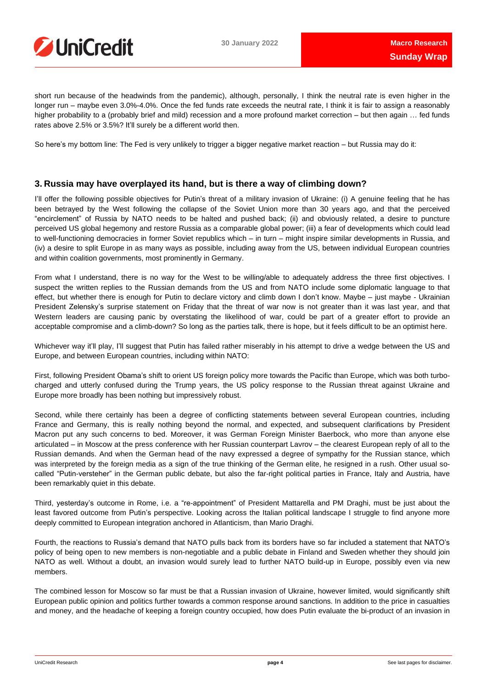

short run because of the headwinds from the pandemic), although, personally, I think the neutral rate is even higher in the longer run – maybe even 3.0%-4.0%. Once the fed funds rate exceeds the neutral rate, I think it is fair to assign a reasonably higher probability to a (probably brief and mild) recession and a more profound market correction – but then again ... fed funds rates above 2.5% or 3.5%? It'll surely be a different world then.

So here's my bottom line: The Fed is very unlikely to trigger a bigger negative market reaction – but Russia may do it:

### **3. Russia may have overplayed its hand, but is there a way of climbing down?**

I'll offer the following possible objectives for Putin's threat of a military invasion of Ukraine: (i) A genuine feeling that he has been betrayed by the West following the collapse of the Soviet Union more than 30 years ago, and that the perceived "encirclement" of Russia by NATO needs to be halted and pushed back; (ii) and obviously related, a desire to puncture perceived US global hegemony and restore Russia as a comparable global power; (iii) a fear of developments which could lead to well-functioning democracies in former Soviet republics which – in turn – might inspire similar developments in Russia, and (iv) a desire to split Europe in as many ways as possible, including away from the US, between individual European countries and within coalition governments, most prominently in Germany.

From what I understand, there is no way for the West to be willing/able to adequately address the three first objectives. I suspect the written replies to the Russian demands from the US and from NATO include some diplomatic language to that effect, but whether there is enough for Putin to declare victory and climb down I don't know. Maybe – just maybe - Ukrainian President Zelensky's surprise statement on Friday that the threat of war now is not greater than it was last year, and that Western leaders are causing panic by overstating the likelihood of war, could be part of a greater effort to provide an acceptable compromise and a climb-down? So long as the parties talk, there is hope, but it feels difficult to be an optimist here.

Whichever way it'll play, I'll suggest that Putin has failed rather miserably in his attempt to drive a wedge between the US and Europe, and between European countries, including within NATO:

First, following President Obama's shift to orient US foreign policy more towards the Pacific than Europe, which was both turbocharged and utterly confused during the Trump years, the US policy response to the Russian threat against Ukraine and Europe more broadly has been nothing but impressively robust.

Second, while there certainly has been a degree of conflicting statements between several European countries, including France and Germany, this is really nothing beyond the normal, and expected, and subsequent clarifications by President Macron put any such concerns to bed. Moreover, it was German Foreign Minister Baerbock, who more than anyone else articulated – in Moscow at the press conference with her Russian counterpart Lavrov – the clearest European reply of all to the Russian demands. And when the German head of the navy expressed a degree of sympathy for the Russian stance, which was interpreted by the foreign media as a sign of the true thinking of the German elite, he resigned in a rush. Other usual socalled "Putin-versteher" in the German public debate, but also the far-right political parties in France, Italy and Austria, have been remarkably quiet in this debate.

Third, yesterday's outcome in Rome, i.e. a "re-appointment" of President Mattarella and PM Draghi, must be just about the least favored outcome from Putin's perspective. Looking across the Italian political landscape I struggle to find anyone more deeply committed to European integration anchored in Atlanticism, than Mario Draghi.

Fourth, the reactions to Russia's demand that NATO pulls back from its borders have so far included a statement that NATO's policy of being open to new members is non-negotiable and a public debate in Finland and Sweden whether they should join NATO as well. Without a doubt, an invasion would surely lead to further NATO build-up in Europe, possibly even via new members.

The combined lesson for Moscow so far must be that a Russian invasion of Ukraine, however limited, would significantly shift European public opinion and politics further towards a common response around sanctions. In addition to the price in casualties and money, and the headache of keeping a foreign country occupied, how does Putin evaluate the bi-product of an invasion in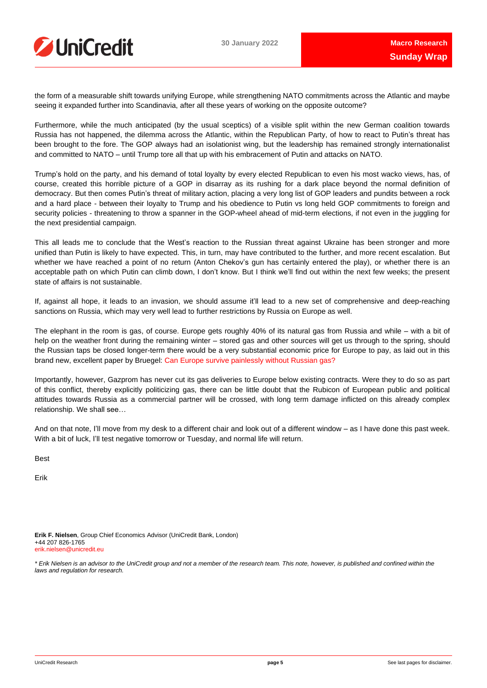

the form of a measurable shift towards unifying Europe, while strengthening NATO commitments across the Atlantic and maybe seeing it expanded further into Scandinavia, after all these years of working on the opposite outcome?

Furthermore, while the much anticipated (by the usual sceptics) of a visible split within the new German coalition towards Russia has not happened, the dilemma across the Atlantic, within the Republican Party, of how to react to Putin's threat has been brought to the fore. The GOP always had an isolationist wing, but the leadership has remained strongly internationalist and committed to NATO – until Trump tore all that up with his embracement of Putin and attacks on NATO.

Trump's hold on the party, and his demand of total loyalty by every elected Republican to even his most wacko views, has, of course, created this horrible picture of a GOP in disarray as its rushing for a dark place beyond the normal definition of democracy. But then comes Putin's threat of military action, placing a very long list of GOP leaders and pundits between a rock and a hard place - between their loyalty to Trump and his obedience to Putin vs long held GOP commitments to foreign and security policies - threatening to throw a spanner in the GOP-wheel ahead of mid-term elections, if not even in the juggling for the next presidential campaign.

This all leads me to conclude that the West's reaction to the Russian threat against Ukraine has been stronger and more unified than Putin is likely to have expected. This, in turn, may have contributed to the further, and more recent escalation. But whether we have reached a point of no return (Anton Chekov's gun has certainly entered the play), or whether there is an acceptable path on which Putin can climb down, I don't know. But I think we'll find out within the next few weeks; the present state of affairs is not sustainable.

If, against all hope, it leads to an invasion, we should assume it'll lead to a new set of comprehensive and deep-reaching sanctions on Russia, which may very well lead to further restrictions by Russia on Europe as well.

The elephant in the room is gas, of course. Europe gets roughly 40% of its natural gas from Russia and while – with a bit of help on the weather front during the remaining winter – stored gas and other sources will get us through to the spring, should the Russian taps be closed longer-term there would be a very substantial economic price for Europe to pay, as laid out in this brand new, excellent paper by Bruegel: [Can Europe survive painlessly without Russian gas?](https://www.bruegel.org/2022/01/can-europe-survive-painlessly-without-russian-gas/)

Importantly, however, Gazprom has never cut its gas deliveries to Europe below existing contracts. Were they to do so as part of this conflict, thereby explicitly politicizing gas, there can be little doubt that the Rubicon of European public and political attitudes towards Russia as a commercial partner will be crossed, with long term damage inflicted on this already complex relationship. We shall see…

And on that note, I'll move from my desk to a different chair and look out of a different window – as I have done this past week. With a bit of luck, I'll test negative tomorrow or Tuesday, and normal life will return.

Best

Erik

**Erik F. Nielsen**, Group Chief Economics Advisor (UniCredit Bank, London) +44 207 826-1765 [erik.nielsen@unicredit.eu](mailto:erik.nielsen@unicredit.eu)

\* Erik Nielsen is an advisor to the UniCredit group and not a member of the research team. This note, however, is published and confined within the *laws and regulation for research.*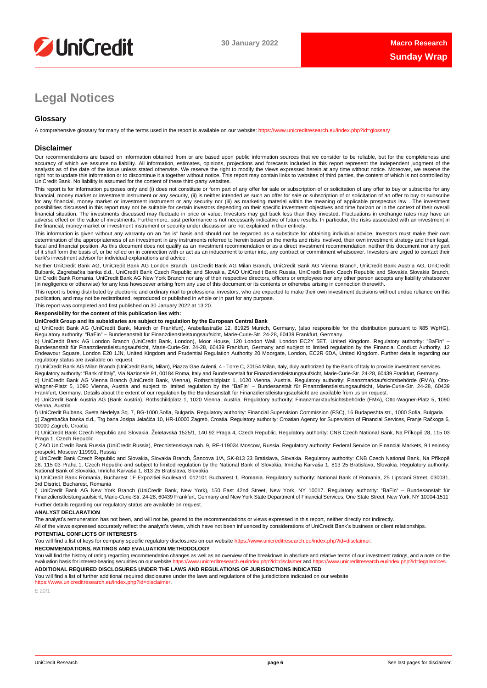

# **Legal Notices**

### **Glossary**

A comprehensive glossary for many of the terms used in the report is available on our website: <https://www.unicreditresearch.eu/index.php?id=glossary>

#### **Disclaimer**

Our recommendations are based on information obtained from or are based upon public information sources that we consider to be reliable, but for the completeness and accuracy of which we assume no liability. All information, estimates, opinions, projections and forecasts included in this report represent the independent judgment of the<br>analysts as of the date of the issue unless stated right not to update this information or to discontinue it altogether without notice. This report may contain links to websites of third parties, the content of which is not controlled by<br>UniCredit Bank. No liability is ass

This report is for information purposes only and (i) does not constitute or form part of any offer for sale or subscription of or solicitation of any offer to buy or subscribe for any<br>financial, money market or investment for any financial, money market or investment instrument or any security nor (iii) as marketing material within the meaning of applicable prospectus law . The investment possibilities discussed in this report may not be suitable for certain investors depending on their specific investment objectives and time horizon or in the context of their overall<br>financial situation. The investments di adverse effect on the value of investments. Furthermore, past performance is not necessarily indicative of future results. In particular, the risks associated with an investment in the financial, money market or investment instrument or security under discussion are not explained in their entirety.

This information is given without any warranty on an "as is" basis and should not be regarded as a substitute for obtaining individual advice. Investors must make their own determination of the appropriateness of an investment in any instruments referred to herein based on the merits and risks involved, their own investment strategy and their legal,<br>fiscal and financial position. As this docu of it shall form the basis of, or be relied on in connection with or act as an inducement to enter into, any contract or commitment whatsoever. Investors are urged to contact their bank's investment advisor for individual explanations and advice.

Neither UniCredit Bank AG, UniCredit Bank AG London Branch, UniCredit Bank AG Milan Branch, UniCredit Bank AG Vienna Branch, UniCredit Bank Austria AG, UniCredit Bulbank, Zagrebačka banka d.d., UniCredit Bank Czech Republic and Slovakia, ZAO UniCredit Bank Russia, UniCredit Bank Czech Republic and Slovakia Slovakia Branch,<br>UniCredit Bank Romania, UniCredit Bank AG New York Branch n (in negligence or otherwise) for any loss howsoever arising from any use of this document or its contents or otherwise arising in connection therewith.

This report is being distributed by electronic and ordinary mail to professional investors, who are expected to make their own investment decisions without undue reliance on this publication, and may not be redistributed, reproduced or published in whole or in part for any purpose.

This report was completed and first published on 30 January 2022 at 13:20.

#### **Responsibility for the content of this publication lies with:**

#### **UniCredit Group and its subsidiaries are subject to regulation by the European Central Bank**

a) UniCredit Bank AG (UniCredit Bank, Munich or Frankfurt), Arabellastraße 12, 81925 Munich, Germany, (also responsible for the distribution pursuant to §85 WpHG). Regulatory authority: "BaFin" – Bundesanstalt für Finanzdienstleistungsaufsicht, Marie-Curie-Str. 24-28, 60439 Frankfurt, Germany.

b) UniCredit Bank AG London Branch (UniCredit Bank, London), Moor House, 120 London Wall, London EC2Y 5ET, United Kingdom. Regulatory authority: "BaFin" –<br>Bundesanstalt für Finanzdienstleistungsaufsicht, Marie-Curie-Str. 2 regulatory status are available on request.

c) UniCredit Bank AG Milan Branch (UniCredit Bank, Milan), Piazza Gae Aulenti, 4 - Torre C, 20154 Milan, Italy, duly authorized by the Bank of Italy to provide investment services. Regulatory authority: "Bank of Italy", Via Nazionale 91, 00184 Roma, Italy and Bundesanstalt für Finanzdienstleistungsaufsicht, Marie-Curie-Str. 24-28, 60439 Frankfurt, Germany.

d) UniCredit Bank AG Vienna Branch (UniCredit Bank, Vienna), Rothschildplatz 1, 1020 Vienna, Austria. Regulatory authority: Finanzmarktaufsichtsbehörde (FMA), Otto-Wagner-Platz 5, 1090 Vienna, Austria and subject to limited regulation by the "BaFin" – Bundesanstalt für Finanzdienstleistungsaufsicht, Marie-Curie-Str. 24-28, 60439<br>Frankfurt, Germany. Details about the extent of our reg

e) UniCredit Bank Austria AG (Bank Austria), Rothschildplatz 1, 1020 Vienna, Austria. Regulatory authority: Finanzmarktaufsichtsbehörde (FMA), Otto-Wagner-Platz 5, 1090 Vienna, Austria

f) UniCredit Bulbank, Sveta Nedelya Sq. 7, BG-1000 Sofia, Bulgaria. Regulatory authority: Financial Supervision Commission (FSC), 16 Budapeshta str., 1000 Sofia, Bulgaria g) Zagrebačka banka d.d., Trg bana Josipa Jelačića 10, HR-10000 Zagreb, Croatia. Regulatory authority: Croatian Agency for Supervision of Financial Services, Franje Račkoga 6, 10000 Zagreb, Croatia

h) UniCredit Bank Czech Republic and Slovakia, Želetavská 1525/1, 140 92 Praga 4, Czech Republic. Regulatory authority: CNB Czech National Bank, Na Příkopě 28, 115 03 Praga 1, Czech Republic

i) ZAO UniCredit Bank Russia (UniCredit Russia), Prechistenskaya nab. 9, RF-119034 Moscow, Russia. Regulatory authority: Federal Service on Financial Markets, 9 Leninsky prospekt, Moscow 119991, Russia

j) UniCredit Bank Czech Republic and Slovakia, Slovakia Branch, Šancova 1/A, SK-813 33 Bratislava, Slovakia. Regulatory authority: CNB Czech National Bank, Na Příkopě 28, 115 03 Praha 1, Czech Republic and subject to limited regulation by the National Bank of Slovakia, Imricha Karvaša 1, 813 25 Bratislava, Slovakia. Regulatory authority: National Bank of Slovakia, Imricha Karvaša 1, 813 25 Bratislava, Slovakia

k) UniCredit Bank Romania, Bucharest 1F Expozitiei Boulevard, 012101 Bucharest 1, Romania. Regulatory authority: National Bank of Romania, 25 Lipscani Street, 030031, 3rd District, Bucharest, Romania

l) UniCredit Bank AG New York Branch (UniCredit Bank, New York), 150 East 42nd Street, New York, NY 10017. Regulatory authority: "BaFin" – Bundesanstalt für Finanzdienstleistungsaufsicht, Marie-Curie-Str. 24-28, 60439 Frankfurt, Germany and New York State Department of Financial Services, One State Street, New York, NY 10004-1511 Further details regarding our regulatory status are available on request.

#### **ANALYST DECLARATION**

The analyst's remuneration has not been, and will not be, geared to the recommendations or views expressed in this report, neither directly nor indirectly.

All of the views expressed accurately reflect the analyst's views, which have not been influenced by considerations of UniCredit Bank's business or client relationships.

#### **POTENTIAL CONFLICTS OF INTERESTS**

You will find a list of keys for company specific regulatory disclosures on our website [https://www.unicreditresearch.eu/index.php?id=disclaimer.](https://www.unicreditresearch.eu/index.php?id=disclaimer)

**RECOMMENDATIONS, RATINGS AND EVALUATION METHODOLOGY**

You will find the history of rating regarding recommendation changes as well as an overview of the breakdown in absolute and relative terms of our investment ratings, and a note on the evaluation basis for interest-bearing evaluation basis for interest-bearing securities on our website https://www.unicreditresearch.eu

**ADDITIONAL REQUIRED DISCLOSURES UNDER THE LAWS AND REGULATIONS OF JURISDICTIONS INDICATED**

You will find a list of further additional required disclosures under the laws and regulations of the jurisdictions indicated on our website [https://www.unicreditresearch.eu/index.php?id=disclaimer.](https://www.unicreditresearch.eu/index.php?id=disclaimer)

E 20/1